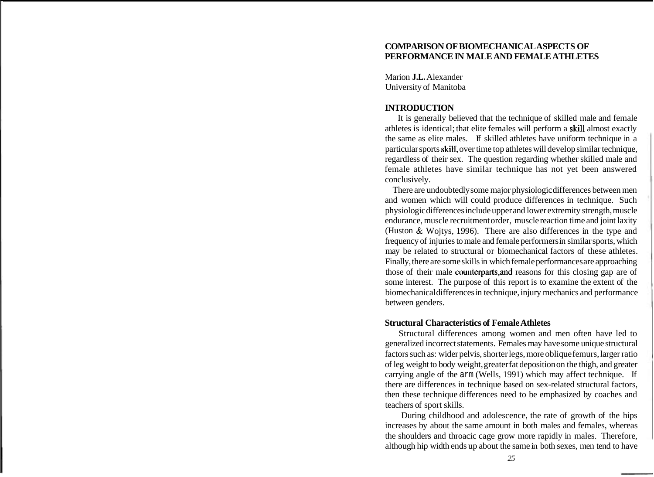# **COMPARISON OF BIOMECHANICAL ASPECTS OF PERFORMANCE IN MALE AND FEMALE ATHLETES**

Marion **J.L.** Alexander University of Manitoba

## **INTRODUCTION**

It is generally believed that the technique of skilled male and female athletes is identical; that elite females will perform a skill almost exactly the same as elite males. If skilled athletes have uniform technique in a particular sports skill, over time top athletes will develop similar technique, regardless of their sex. The question regarding whether skilled male and female athletes have similar technique has not yet been answered conclusively.

There are undoubtedly some major physiologic differences between men and women which will could produce differences in technique. Such physiologic differences include upper and lower extremity strength, muscle endurance, muscle recruitment order, muscle reaction time and joint laxity (Huston & Wojtys, 1996). There are also differences in the type and frequency of injuries to male and female performers in similar sports, which may be related to structural or biomechanical factors of these athletes. Finally, there are some skills in which female performances are approaching those of their male counterparts,and reasons for this closing gap are of some interest. The purpose of this report is to examine the extent of the biomechanical differences in technique, injury mechanics and performance between genders.

### **Structural Characteristics of Female Athletes**

Structural differences among women and men often have led to generalized incorrect statements. Females may have some unique structural factors such as: wider pelvis, shorter legs, more oblique femurs, larger ratio of leg weight to body weight, greater fat deposition on the thigh, and greater carrying angle of the arm (Wells, 1991) which may affect technique. If there are differences in technique based on sex-related structural factors, then these technique differences need to be emphasized by coaches and teachers of sport skills.

During childhood and adolescence, the rate of growth of the hips increases by about the same amount in both males and females, whereas the shoulders and throacic cage grow more rapidly in males. Therefore, although hip width ends up about the same in both sexes, men tend to have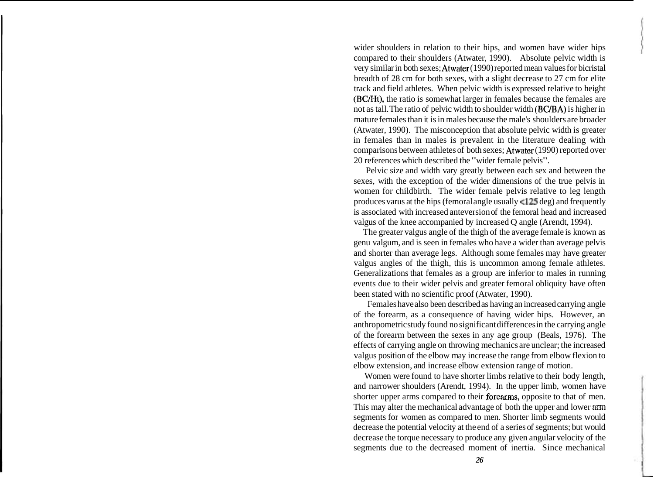wider shoulders in relation to their hips, and women have wider hips compared to their shoulders (Atwater, 1990). Absolute pelvic width is very similar in both sexes; Atwater (1990) reported mean values for bicristal breadth of 28 cm for both sexes, with a slight decrease to 27 cm for elite track and field athletes. When pelvic width is expressed relative to height (BCMt), the ratio is somewhat larger in females because the females are not as tall. The ratio of pelvic width to shoulder width (BC/BA) is higher in mature females than it is in males because the male's shoulders are broader (Atwater, 1990). The misconception that absolute pelvic width is greater in females than in males is prevalent in the literature dealing with comparisons between athletes of both sexes; Atwater (1990) reported over 20 references which described the "wider female pelvis".

Pelvic size and width vary greatly between each sex and between the sexes, with the exception of the wider dimensions of the true pelvis in women for childbirth. The wider female pelvis relative to leg length produces varus at the hips (femoral angle usually  $\leq 125$  deg) and frequently is associated with increased anteversion of the femoral head and increased valgus of the knee accompanied by increased Q angle (Arendt, 1994).

The greater valgus angle of the thigh of the average female is known as genu valgum, and is seen in females who have a wider than average pelvis and shorter than average legs. Although some females may have greater valgus angles of the thigh, this is uncommon among female athletes. Generalizations that females as a group are inferior to males in running events due to their wider pelvis and greater femoral obliquity have often been stated with no scientific proof (Atwater, 1990).

Females have also been described as having an increased carrying angle of the forearm, as a consequence of having wider hips. However, an anthropometric study found no significant differences in the carrying angle of the forearm between the sexes in any age group (Beals, 1976). The effects of carrying angle on throwing mechanics are unclear; the increased valgus position of the elbow may increase the range from elbow flexion to elbow extension, and increase elbow extension range of motion.

Women were found to have shorter limbs relative to their body length, and narrower shoulders (Arendt, 1994). In the upper limb, women have shorter upper arms compared to their forearms, opposite to that of men. This may alter the mechanical advantage of both the upper and lower **arm**  segments for women as compared to men. Shorter limb segments would decrease the potential velocity at the end of a series of segments; but would decrease the torque necessary to produce any given angular velocity of the segments due to the decreased moment of inertia. Since mechanical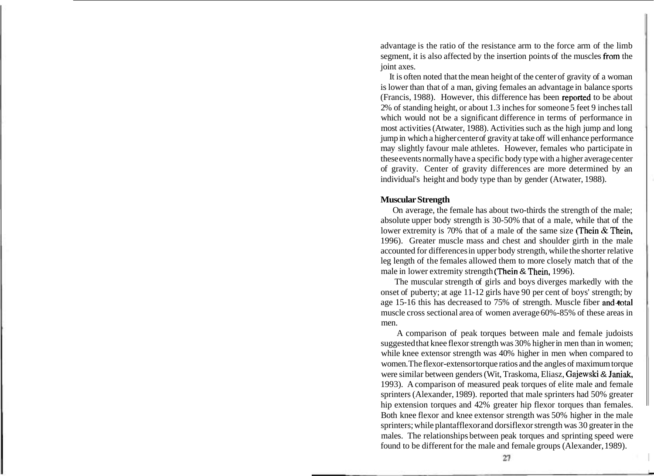advantage is the ratio of the resistance arm to the force arm of the limb segment, it is also affected by the insertion points of the muscles from the joint axes.

It is often noted that the mean height of the center of gravity of a woman is lower than that of a man, giving females an advantage in balance sports (Francis, 1988). However, this difference has been repotted to be about 2% of standing height, or about 1.3 inches for someone 5 feet 9 inches tall which would not be a significant difference in terms of performance in most activities (Atwater, 1988). Activities such as the high jump and long jump in which a higher center of gravity at take off will enhance performance may slightly favour male athletes. However, females who participate in these events normally have a specific body type with a higher average center of gravity. Center of gravity differences are more determined by an individual's height and body type than by gender (Atwater, 1988).

# **Muscular Strength**

On average, the female has about two-thirds the strength of the male; absolute upper body strength is 30-50% that of a male, while that of the lower extremity is 70% that of a male of the same size (Thein & Thein, 1996). Greater muscle mass and chest and shoulder girth in the male accounted for differences in upper body strength, while the shorter relative leg length of the females allowed them to more closely match that of the male in lower extremity strength (Thein & Thein, 1996).

The muscular strength of girls and boys diverges markedly with the onset of puberty; at age 11-12 girls have 90 per cent of boys' strength; by age 15-16 this has decreased to 75% of strength. Muscle fiber and total muscle cross sectional area of women average 60%-85% of these areas in men.

A comparison of peak torques between male and female judoists suggested that knee flexor strength was 30% higher in men than in women; while knee extensor strength was 40% higher in men when compared to women. The flexor-extensor torque ratios and the angles of maximum torque were similar between genders (Wit, Traskoma, Eliasz, Gajewski & Janiak, 1993). A comparison of measured peak torques of elite male and female sprinters (Alexander, 1989). reported that male sprinters had 50% greater hip extension torques and 42% greater hip flexor torques than females. Both knee flexor and knee extensor strength was 50% higher in the male sprinters; while plantafflexor and dorsiflexor strength was 30 greater in the males. The relationships between peak torques and sprinting speed were found to be different for the male and female groups (Alexander, 1989).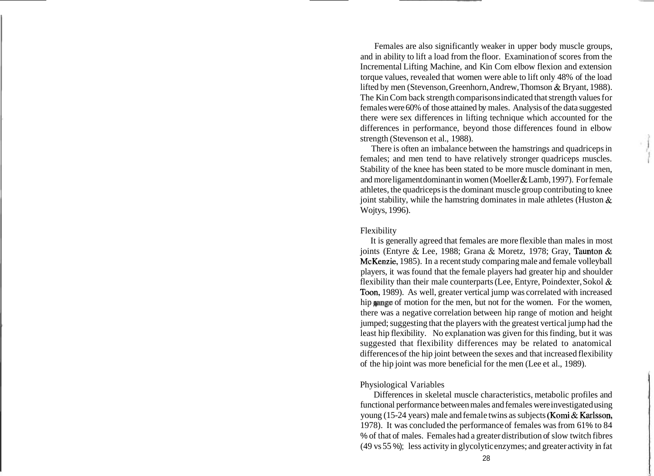Females are also significantly weaker in upper body muscle groups, and in ability to lift a load from the floor. Examination of scores from the Incremental Lifting Machine, and Kin Com elbow flexion and extension torque values, revealed that women were able to lift only 48% of the load lifted by men (Stevenson, Greenhorn, Andrew, Thomson & Bryant, 1988). The Kin Com back strength comparisons indicated that strength values for females were 60% of those attained by males. Analysis of the data suggested there were sex differences in lifting technique which accounted for the differences in performance, beyond those differences found in elbow strength (Stevenson et al., 1988).

There is often an imbalance between the hamstrings and quadriceps in females; and men tend to have relatively stronger quadriceps muscles. Stability of the knee has been stated to be more muscle dominant in men, and more ligament dominant in women (Moeller & Lamb, 1997). For female athletes, the quadriceps is the dominant muscle group contributing to knee joint stability, while the hamstring dominates in male athletes (Huston  $\&$ Wojtys, 1996).

#### Flexibility

It is generally agreed that females are more flexible than males in most joints (Entyre & Lee, 1988; Grana & Moretz, 1978; Gray, Taunton & McKenzie, 1985). In a recent study comparing male and female volleyball players, it was found that the female players had greater hip and shoulder flexibility than their male counterparts (Lee, Entyre, Poindexter, Sokol & Toon, 1989). As well, greater vertical jump was correlated with increased hip sange of motion for the men, but not for the women. For the women, there was a negative correlation between hip range of motion and height jumped; suggesting that the players with the greatest vertical jump had the least hip flexibility. No explanation was given for this finding, but it was suggested that flexibility differences may be related to anatomical differences of the hip joint between the sexes and that increased flexibility of the hip joint was more beneficial for the men (Lee et al., 1989).

## Physiological Variables

Differences in skeletal muscle characteristics, metabolic profiles and functional performance between males and females were investigated using young (15-24 years) male and female twins as subjects (Komi & Karlsson, 1978). It was concluded the performance of females was from 61 % to 84 % of that of males. Females had a greater distribution of slow twitch fibres (49 vs 55 %); less activity in glycolytic enzymes; and greater activity in fat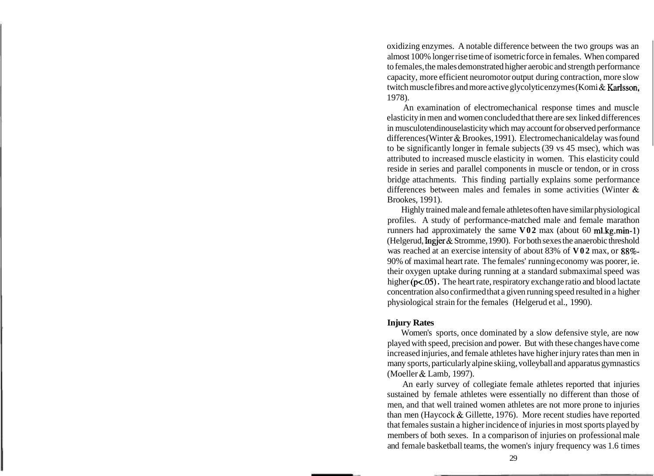oxidizing enzymes. A notable difference between the two groups was an almost 100% longer rise time of isometric force in females. When compared to females, the males demonstrated higher aerobic and strength performance capacity, more efficient neuromotor output during contraction, more slow twitch muscle fibres and more active glycolytic enzymes (Komi & Karlsson, 1978).

An examination of electromechanical response times and muscle elasticity in men and women concluded that there are sex linked differences in musculotendinous elasticity which may account for observed performance differences (Winter & Brookes, 1991). Electromechanical delay was found to be significantly longer in female subjects (39 vs 45 msec), which was attributed to increased muscle elasticity in women. This elasticity could reside in series and parallel components in muscle or tendon, or in cross bridge attachments. This finding partially explains some performance differences between males and females in some activities (Winter & Brookes, 1991).

Highly trained male and female athletes often have similar physiological profiles. A study of performance-matched male and female marathon runners had approximately the same **V02** max (about 60 ml.kg.min-1) (Helgerud, Ingjer & Stromme, 1990). For both sexes the anaerobic threshold was reached at an exercise intensity of about 83% of **V02** max, or 88%- 90% of maximal heart rate. The females' running economy was poorer, ie. their oxygen uptake during running at a standard submaximal speed was higher ( $p$ <.05). The heart rate, respiratory exchange ratio and blood lactate concentration also confirmed that a given running speed resulted in a higher physiological strain for the females (Helgerud et al., 1990).

## **Injury Rates**

Women's sports, once dominated by a slow defensive style, are now played with speed, precision and power. But with these changes have come increased injuries, and female athletes have higher injury rates than men in many sports, particularly alpine skiing, volleyball and apparatus gymnastics (Moeller & Lamb, 1997).

An early survey of collegiate female athletes reported that injuries sustained by female athletes were essentially no different than those of men, and that well trained women athletes are not more prone to injuries than men (Haycock & Gillette, 1976). More recent studies have reported that females sustain a higher incidence of injuries in most sports played by members of both sexes. In a comparison of injuries on professional male and female basketball teams, the women's injury frequency was 1.6 times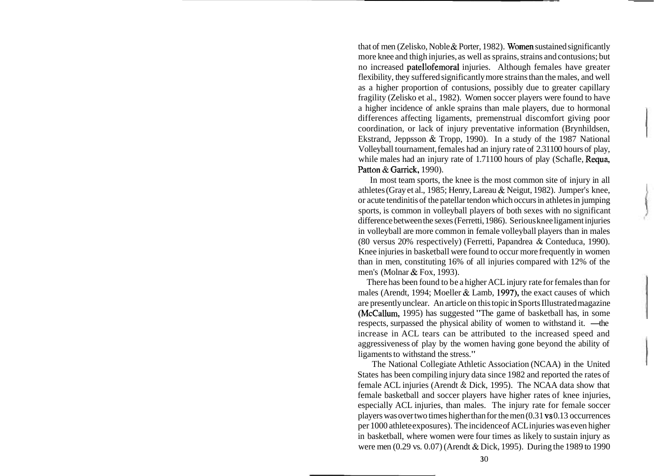that of men (Zelisko, Noble & Porter, 1982). Women sustained significantly more knee and thigh injuries, as well as sprains, strains and contusions; but no increased patellofemoral injuries. Although females have greater flexibility, they suffered significantly more strains than the males, and well as a higher proportion of contusions, possibly due to greater capillary fragility (Zelisko et al., 1982). Women soccer players were found to have a higher incidence of ankle sprains than male players, due to hormonal differences affecting ligaments, premenstrual discomfort giving poor coordination, or lack of injury preventative information (Brynhildsen, Ekstrand, Jeppsson & Tropp, 1990). In a study of the 1987 National Volleyball tournament, females had an injury rate of 2.31100 hours of play, while males had an injury rate of 1.71100 hours of play (Schafle, Requa, Patton & Garrick, 1990).

In most team sports, the knee is the most common site of injury in all athletes (Gray et al., 1985; Henry, Lareau & Neigut, 1982). Jumper's knee, or acute tendinitis of the patellar tendon which occurs in athletes in jumping sports, is common in volleyball players of both sexes with no significant difference between the sexes (Ferretti, 1986). Serious knee ligament injuries in volleyball are more common in female volleyball players than in males (80 versus 20% respectively) (Ferretti, Papandrea & Conteduca, 1990). Knee injuries in basketball were found to occur more frequently in women than in men, constituting 16% of all injuries compared with 12% of the men's (Molnar & Fox, 1993).

There has been found to be a higher ACL injury rate for females than for males (Arendt, 1994; Moeller  $&$  Lamb, 1997), the exact causes of which are presently unclear. An article on this topic in Sports Illustrated magazine (McCallum, 1995) has suggested "The game of basketball has, in some respects, surpassed the physical ability of women to withstand it. — the increase in ACL tears can be attributed to the increased speed and aggressiveness of play by the women having gone beyond the ability of ligaments to withstand the stress."

The National Collegiate Athletic Association (NCAA) in the United States has been compiling injury data since 1982 and reported the rates of female ACL injuries (Arendt & Dick, 1995). The NCAA data show that female basketball and soccer players have higher rates of knee injuries, especially ACL injuries, than males. The injury rate for female soccer players was over two times higher than for the men (0.3 1 vs 0.13 occurrences per 1000 athlete exposures). The incidence of ACL injuries was even higher in basketball, where women were four times as likely to sustain injury as were men (0.29 vs. 0.07) (Arendt & Dick, 1995). During the 1989 to 1990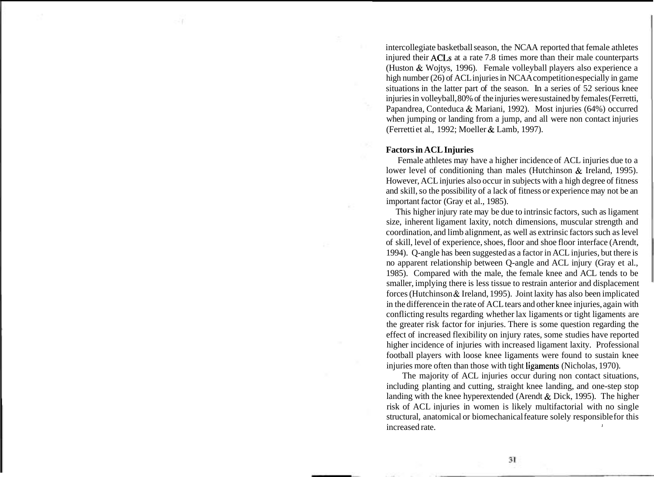intercollegiate basketball season, the NCAA reported that female athletes injured their ACLs at a rate 7.8 times more than their male counterparts (Huston & Wojtys, 1996). Female volleyball players also experience a high number (26) of ACL injuries in NCAA competition especially in game situations in the latter part of the season. In a series of 52 serious knee injuries in volleyball, 80% of the injuries were sustained by females (Ferretti, Papandrea, Conteduca & Mariani, 1992). Most injuries (64%) occurred when jumping or landing from a jump, and all were non contact injuries (Ferretti et al., 1992; Moeller & Lamb, 1997).

### **Factors in ACL Injuries**

Female athletes may have a higher incidence of ACL injuries due to a lower level of conditioning than males (Hutchinson & Ireland, 1995). However, ACL injuries also occur in subjects with a high degree of fitness and skill, so the possibility of a lack of fitness or experience may not be an important factor (Gray et al., 1985).

This higher injury rate may be due to intrinsic factors, such as ligament size, inherent ligament laxity, notch dimensions, muscular strength and coordination, and limb alignment, as well as extrinsic factors such as level of skill, level of experience, shoes, floor and shoe floor interface (Arendt, 1994). Q-angle has been suggested as a factor in ACL injuries, but there is no apparent relationship between Q-angle and ACL injury (Gray et al., 1985). Compared with the male, the female knee and ACL tends to be smaller, implying there is less tissue to restrain anterior and displacement forces (Hutchinson & Ireland, 1995). Joint laxity has also been implicated in the difference in the rate of ACL tears and other knee injuries, again with conflicting results regarding whether lax ligaments or tight ligaments are the greater risk factor for injuries. There is some question regarding the effect of increased flexibility on injury rates, some studies have reported higher incidence of injuries with increased ligament laxity. Professional football players with loose knee ligaments were found to sustain knee injuries more often than those with tight ligaments (Nicholas, 1970).

The majority of ACL injuries occur during non contact situations, including planting and cutting, straight knee landing, and one-step stop landing with the knee hyperextended (Arendt & Dick, 1995). The higher risk of ACL injuries in women is likely multifactorial with no single structural, anatomical or biomechanical feature solely responsible for this increased rate.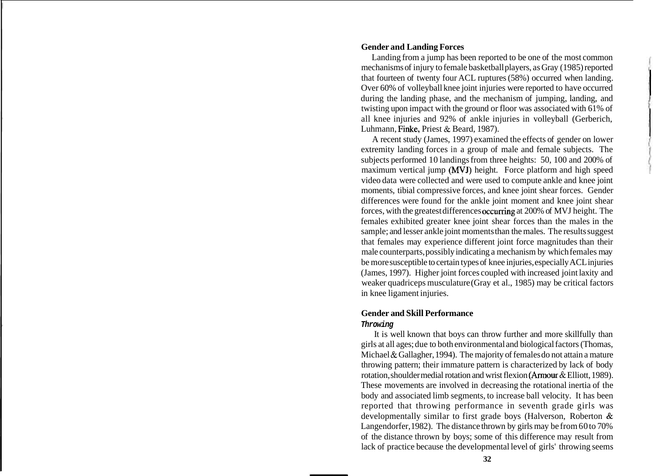## **Gender and Landing Forces**

Landing from a jump has been reported to be one of the most common mechanisms of injury to female basketball players, as Gray (1985) reported that fourteen of twenty four ACL ruptures (58%) occurred when landing. Over 60% of volleyball knee joint injuries were reported to have occurred during the landing phase, and the mechanism of jumping, landing, and twisting upon impact with the ground or floor was associated with 61% of all knee injuries and 92% of ankle injuries in volleyball (Gerberich, Luhmann, Finke, Priest & Beard, 1987).

A recent study (James, 1997) examined the effects of gender on lower extremity landing forces in a group of male and female subjects. The subjects performed 10 landings from three heights: 50, 100 and 200% of maximum vertical jump (MVJ) height. Force platform and high speed video data were collected and were used to compute ankle and knee joint moments, tibial compressive forces, and knee joint shear forces. Gender differences were found for the ankle joint moment and knee joint shear forces, with the greatest differences occurring at 200% of MVJ height. The females exhibited greater knee joint shear forces than the males in the sample; and lesser ankle joint moments than the males. The results suggest that females may experience different joint force magnitudes than their male counterparts, possibly indicating a mechanism by which females may be more susceptible to certain types of knee injuries, especially ACL injuries (James, 1997). Higher joint forces coupled with increased joint laxity and weaker quadriceps musculature (Gray et al., 1985) may be critical factors in knee ligament injuries.

## **Gender and Skill Performance**

#### **Throwing**

It is well known that boys can throw further and more skillfully than girls at all ages; due to both environmental and biological factors (Thomas, Michael & Gallagher, 1994). The majority of females do not attain a mature throwing pattern; their immature pattern is characterized by lack of body rotation, shoulder medial rotation and wrist flexion (Armour & Elliott, 1989). These movements are involved in decreasing the rotational inertia of the body and associated limb segments, to increase ball velocity. It has been reported that throwing performance in seventh grade girls was developmentally similar to first grade boys (Halverson, Roberton & Langendorfer, 1982). The distance thrown by girls may be from 60 to 70% of the distance thrown by boys; some of this difference may result from lack of practice because the developmental level of girls' throwing seems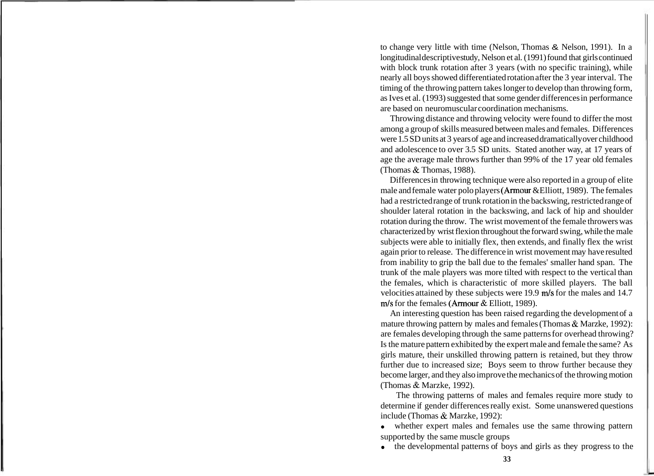to change very little with time (Nelson, Thomas & Nelson, 1991). In a longitudinal descriptive study, Nelson et al. (1991) found that girls continued with block trunk rotation after 3 years (with no specific training), while nearly all boys showed differentiated rotation after the 3 year interval. The timing of the throwing pattern takes longer to develop than throwing form, as Ives et al. (1993) suggested that some gender differences in performance are based on neuromuscular coordination mechanisms.

Throwing distance and throwing velocity were found to differ the most among a group of skills measured between males and females. Differences were 1.5 SD units at 3 years of age and increased dramatically over childhood and adolescence to over 3.5 SD units. Stated another way, at 17 years of age the average male throws further than 99% of the 17 year old females (Thomas & Thomas, 1988).

Differences in throwing technique were also reported in a group of elite male and female water polo players (Amour &Elliott, 1989). The females had a restricted range of trunk rotation in the backswing, restricted range of shoulder lateral rotation in the backswing, and lack of hip and shoulder rotation during the throw. The wrist movement of the female throwers was characterized by wrist flexion throughout the forward swing, while the male subjects were able to initially flex, then extends, and finally flex the wrist again prior to release. The difference in wrist movement may have resulted from inability to grip the ball due to the females' smaller hand span. The trunk of the male players was more tilted with respect to the vertical than the females, which is characteristic of more skilled players. The ball velocities attained by these subjects were 19.9 m/s for the males and 14.7 m/s for the females (Armour & Elliott, 1989).

An interesting question has been raised regarding the development of a mature throwing pattern by males and females (Thomas & Marzke, 1992): are females developing through the same patterns for overhead throwing? Is the mature pattern exhibited by the expert male and female the same? As girls mature, their unskilled throwing pattern is retained, but they throw further due to increased size; Boys seem to throw further because they become larger, and they also improve the mechanics of the throwing motion (Thomas & Marzke, 1992).

The throwing patterns of males and females require more study to determine if gender differences really exist. Some unanswered questions include (Thomas & Marzke, 1992):

whether expert males and females use the same throwing pattern supported by the same muscle groups

the developmental patterns of boys and girls as they progress to the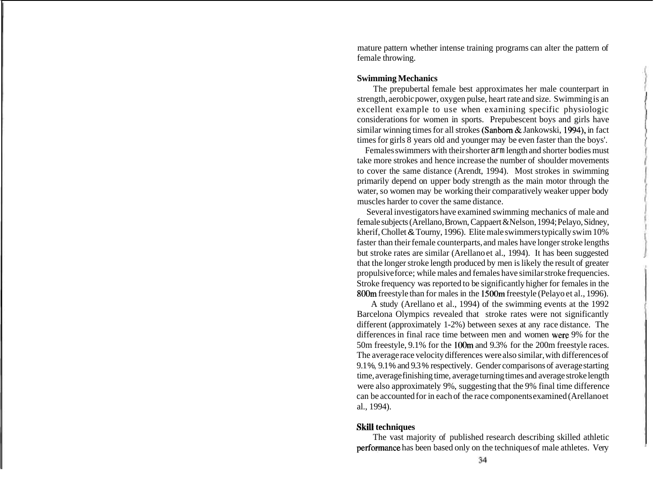mature pattern whether intense training programs can alter the pattern of female throwing.

### **Swimming Mechanics**

The prepubertal female best approximates her male counterpart in strength, aerobic power, oxygen pulse, heart rate and size. Swimming is an excellent example to use when examining specific physiologic considerations for women in sports. Prepubescent boys and girls have similar winning times for all strokes (Sanborn & Jankowski, 1994), in fact times for girls 8 years old and younger may be even faster than the boys'.

Females swimmers with their shorter arm length and shorter bodies must take more strokes and hence increase the number of shoulder movements to cover the same distance (Arendt, 1994). Most strokes in swimming primarily depend on upper body strength as the main motor through the water, so women may be working their comparatively weaker upper body muscles harder to cover the same distance.

Several investigators have examined swimming mechanics of male and female subjects (Arellano, Brown, Cappaert &Nelson, 1994; Pelayo, Sidney, kherif, Chollet & Tourny, 1996). Elite male swimmers typically swim 10% faster than their female counterparts, and males have longer stroke lengths but stroke rates are similar (Arellano et al., 1994). It has been suggested that the longer stroke length produced by men is likely the result of greater propulsive force; while males and females have similar stroke frequencies. Stroke frequency was reported to be significantly higher for females in the 800m freestyle than for males in the 1500m freestyle (Pelayo et al., 1996).

A study (Arellano et al., 1994) of the swimming events at the 1992 Barcelona Olympics revealed that stroke rates were not significantly different (approximately 1-2%) between sexes at any race distance. The differences in final race time between men and women were 9% for the 50m freestyle, 9.1% for the lOOm and 9.3% for the 200m freestyle races. The average race velocity differences were also similar, with differences of 9.1 %, 9.1 % and 9.3 % respectively. Gender comparisons of average starting time, average finishing time, average turning times and average stroke length were also approximately 9%, suggesting that the 9% final time difference can be accounted for in each of the race components examined (Arellano et al., 1994).

## **Skill techniques**

The vast majority of published research describing skilled athletic perfomance has been based only on the techniques of male athletes. Very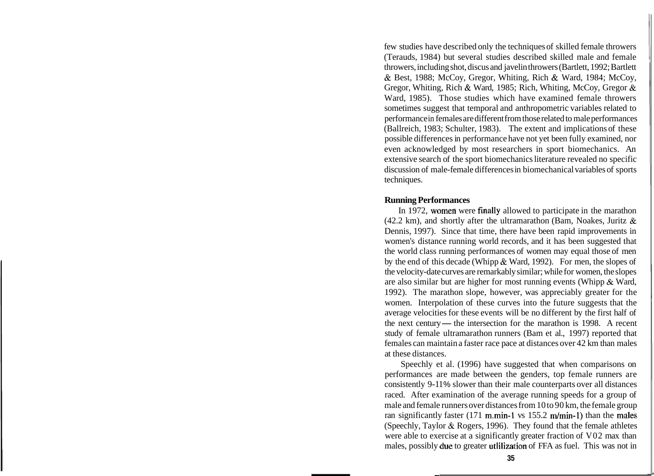few studies have described only the techniques of skilled female throwers (Terauds, 1984) but several studies described skilled male and female throwers, including shot, discus and javelin throwers (Bartlett, 1992; Bartlett & Best, 1988; McCoy, Gregor, Whiting, Rich & Ward, 1984; McCoy, Gregor, Whiting, Rich & Ward, 1985; Rich, Whiting, McCoy, Gregor & Ward, 1985). Those studies which have examined female throwers sometimes suggest that temporal and anthropometric variables related to performance in females are different from those related to male performances (Ballreich, 1983; Schulter, 1983). The extent and implications of these possible differences in performance have not yet been fully examined, nor even acknowledged by most researchers in sport biomechanics. An extensive search of the sport biomechanics literature revealed no specific discussion of male-female differences in biomechanical variables of sports techniques.

### **Running Performances**

In 1972, women were finally allowed to participate in the marathon (42.2 km), and shortly after the ultramarathon (Bam, Noakes, Juritz  $\&$ Dennis, 1997). Since that time, there have been rapid improvements in women's distance running world records, and it has been suggested that the world class running performances of women may equal those of men by the end of this decade (Whipp & Ward, 1992). For men, the slopes of the velocity-date curves are remarkably similar; while for women, the slopes are also similar but are higher for most running events (Whipp & Ward, 1992). The marathon slope, however, was appreciably greater for the women. Interpolation of these curves into the future suggests that the average velocities for these events will be no different by the first half of the next century— the intersection for the marathon is 1998. A recent study of female ultramarathon runners (Bam et al., 1997) reported that females can maintain a faster race pace at distances over 42 km than males at these distances.

Speechly et al. (1996) have suggested that when comparisons on performances are made between the genders, top female runners are consistently 9-11% slower than their male counterparts over all distances raced. After examination of the average running speeds for a group of male and female runners over distances from 10 to 90 km, the female group ran significantly faster (171 m.min-1 vs  $155.2$  m/min-1) than the males (Speechly, Taylor & Rogers, 1996). They found that the female athletes were able to exercise at a significantly greater fraction of V02 max than males, possibly due to greater utlilization of FFA as fuel. This was not in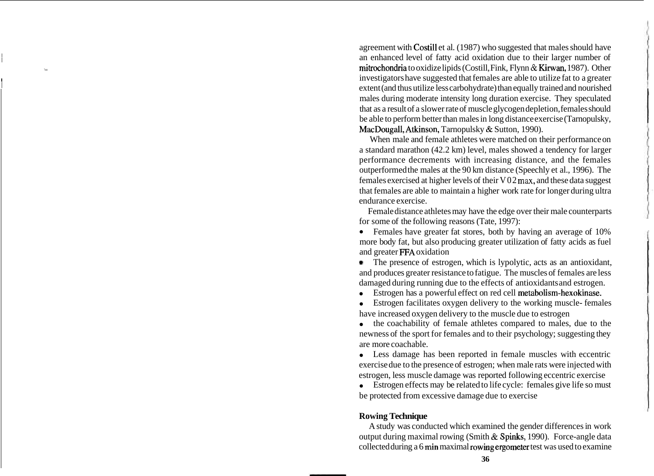agreement with Costill et al. (1987) who suggested that males should have an enhanced level of fatty acid oxidation due to their larger number of mitrochondria to oxidize lipids (Costill, Fink, Flynn & Kirwan, 1987). Other investigators have suggested that females are able to utilize fat to a greater extent (and thus utilize less carbohydrate) than equally trained and nourished males during moderate intensity long duration exercise. They speculated that as a result of a slower rate of muscle glycogen depletion, females should be able to perform better than males in long distance exercise (Tarnopulsky, MacDougall, Atkinson, Tarnopulsky & Sutton, 1990).

When male and female athletes were matched on their performance on a standard marathon (42.2 km) level, males showed a tendency for larger performance decrements with increasing distance, and the females outperformed the males at the 90 km distance (Speechly et al., 1996). The females exercised at higher levels of their V02 **max,** and these data suggest that females are able to maintain a higher work rate for longer during ultra endurance exercise.

Female distance athletes may have the edge over their male counterparts for some of the following reasons (Tate, 1997):

Females have greater fat stores, both by having an average of 10% more body fat, but also producing greater utilization of fatty acids as fuel and greater FFA oxidation

The presence of estrogen, which is lypolytic, acts as an antioxidant, ۰ and produces greater resistance to fatigue. The muscles of females are less damaged during running due to the effects of antioxidants and estrogen.

Estrogen has a powerful effect on red cell metabolism-hexokinase.

Estrogen facilitates oxygen delivery to the working muscle- females have increased oxygen delivery to the muscle due to estrogen

the coachability of female athletes compared to males, due to the newness of the sport for females and to their psychology; suggesting they are more coachable.

Less damage has been reported in female muscles with eccentric exercise due to the presence of estrogen; when male rats were injected with estrogen, less muscle damage was reported following eccentric exercise

Estrogen effects may be related to life cycle: females give life so must be protected from excessive damage due to exercise

# **Rowing Technique**

A study was conducted which examined the gender differences in work output during maximal rowing (Smith & Spinks, 1990). Force-angle data collected during a 6 min maximal rowing ergometer test was used to examine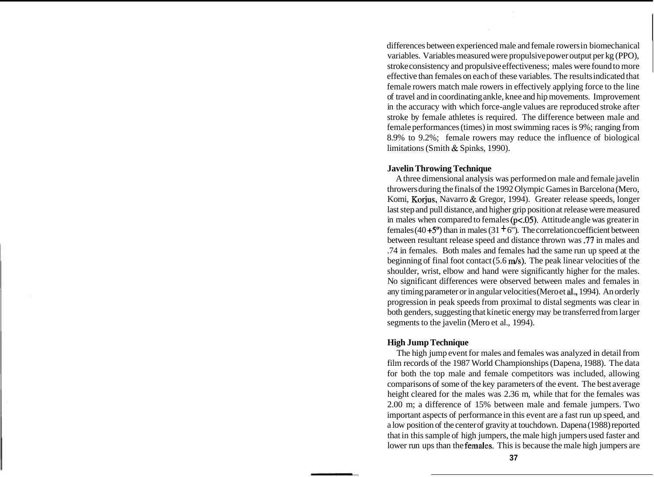differences between experienced male and female rowers in biomechanical variables. Variables measured were propulsive power output per kg (PPO), stroke consistency and propulsive effectiveness; males were found to more effective than females on each of these variables. The results indicated that female rowers match male rowers in effectively applying force to the line of travel and in coordinating ankle, knee and hip movements. Improvement in the accuracy with which force-angle values are reproduced stroke after stroke by female athletes is required. The difference between male and female performances (times) in most swimming races is 9%; ranging from 8.9% to 9.2%; female rowers may reduce the influence of biological limitations (Smith & Spinks, 1990).

## **Javelin Throwing Technique**

A three dimensional analysis was performed on male and female javelin throwers during the finals of the 1992 Olympic Games in Barcelona (Mero, Komi, Korjus, Navarro & Gregor, 1994). Greater release speeds, longer last step and pull distance, and higher grip position at release were measured in males when compared to females  $(p<.05)$ . Attitude angle was greater in females (40  $+5^{\circ}$ ) than in males (31  $+6^{\circ}$ ). The correlation coefficient between between resultant release speed and distance thrown was .77 in males and .74 in females. Both males and females had the same run up speed at the beginning of final foot contact  $(5.6 \text{ m/s})$ . The peak linear velocities of the shoulder, wrist, elbow and hand were significantly higher for the males. No significant differences were observed between males and females in any timing parameter or in angular velocities (Mero et a]., 1994). An orderly progression in peak speeds from proximal to distal segments was clear in both genders, suggesting that kinetic energy may be transferred from larger segments to the javelin (Mero et al., 1994).

# **High Jump Technique**

The high jump event for males and females was analyzed in detail from film records of the 1987 World Championships (Dapena, 1988). The data for both the top male and female competitors was included, allowing comparisons of some of the key parameters of the event. The best average height cleared for the males was 2.36 m, while that for the females was 2.00 m; a difference of 15% between male and female jumpers. Two important aspects of performance in this event are a fast run up speed, and a low position of the center of gravity at touchdown. Dapena (1988) reported that in this sample of high jumpers, the male high jumpers used faster and lower run ups than the females. This is because the male high jumpers are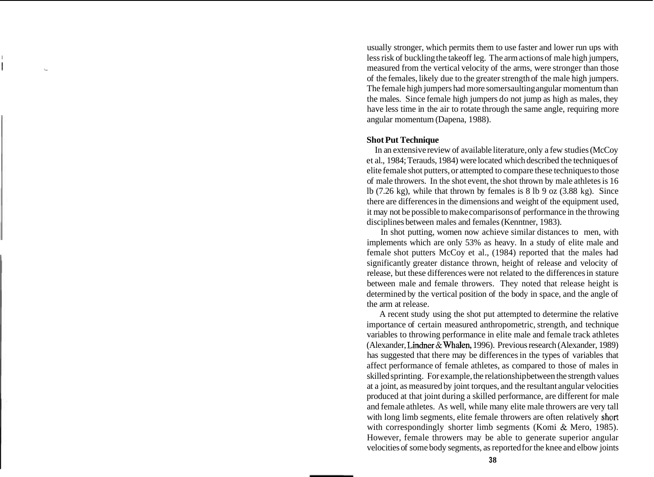usually stronger, which permits them to use faster and lower run ups with less risk of buckling the takeoff leg. The arm actions of male high jumpers, **III** measured from the vertical velocity of the arms, were stronger than those of the females, likely due to the greater strength of the male high jumpers. The female high jumpers had more somersaulting angular momentum than the males. Since female high jumpers do not jump as high as males, they have less time in the air to rotate through the same angle, requiring more angular momentum (Dapena, 1988).

## **Shot Put Technique**

In an extensive review of available literature, only a few studies (McCoy et al., 1984; Terauds, 1984) were located which described the techniques of elite female shot putters, or attempted to compare these techniques to those of male throwers. In the shot event, the shot thrown by male athletes is 16 lb  $(7.26 \text{ kg})$ , while that thrown by females is  $8 \text{ lb}$  9 oz  $(3.88 \text{ kg})$ . Since there are differences in the dimensions and weight of the equipment used, it may not be possible to make comparisons of performance in the throwing disciplines between males and females (Kenntner, 1983).

In shot putting, women now achieve similar distances to men, with implements which are only 53% as heavy. In a study of elite male and female shot putters McCoy et al., (1984) reported that the males had significantly greater distance thrown, height of release and velocity of release, but these differences were not related to the differences in stature between male and female throwers. They noted that release height is determined by the vertical position of the body in space, and the angle of the arm at release.

A recent study using the shot put attempted to determine the relative importance of certain measured anthropometric, strength, and technique variables to throwing performance in elite male and female track athletes (Alexander, Lindner & Whalen, 1996). Previous research (Alexander, 1989) has suggested that there may be differences in the types of variables that affect performance of female athletes, as compared to those of males in skilled sprinting. For example, the relationship between the strength values at a joint, as measured by joint torques, and the resultant angular velocities produced at that joint during a skilled performance, are different for male and female athletes. As well, while many elite male throwers are very tall with long limb segments, elite female throwers are often relatively short with correspondingly shorter limb segments (Komi & Mero, 1985). However, female throwers may be able to generate superior angular velocities of some body segments, as reported for the knee and elbow joints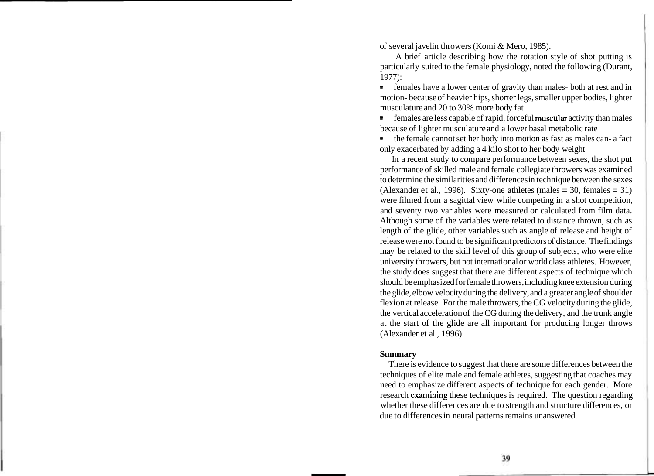of several javelin throwers (Komi & Mero, 1985).

A brief article describing how the rotation style of shot putting is particularly suited to the female physiology, noted the following (Durant, 1977):

females have a lower center of gravity than males- both at rest and in motion- because of heavier hips, shorter legs, smaller upper bodies, lighter musculature and 20 to 30% more body fat

females are less capable of rapid, forceful muscular activity than males because of lighter musculature and a lower basal metabolic rate

the female cannot set her body into motion as fast as males can- a fact only exacerbated by adding a 4 kilo shot to her body weight

In a recent study to compare performance between sexes, the shot put performance of skilled male and female collegiate throwers was examined to determine the similarities and differences in technique between the sexes (Alexander et al., 1996). Sixty-one athletes (males  $= 30$ , females  $= 31$ ) were filmed from a sagittal view while competing in a shot competition, and seventy two variables were measured or calculated from film data. Although some of the variables were related to distance thrown, such as length of the glide, other variables such as angle of release and height of release were not found to be significant predictors of distance. The findings may be related to the skill level of this group of subjects, who were elite university throwers, but not international or world class athletes. However, the study does suggest that there are different aspects of technique which should be emphasized for female throwers, including knee extension during the glide, elbow velocity during the delivery, and a greater angle of shoulder flexion at release. For the male throwers, the CG velocity during the glide, the vertical acceleration of the CG during the delivery, and the trunk angle at the start of the glide are all important for producing longer throws (Alexander et al., 1996).

#### **Summary**

There is evidence to suggest that there are some differences between the techniques of elite male and female athletes, suggesting that coaches may need to emphasize different aspects of technique for each gender. More research examining these techniques is required. The question regarding whether these differences are due to strength and structure differences, or due to differences in neural patterns remains unanswered.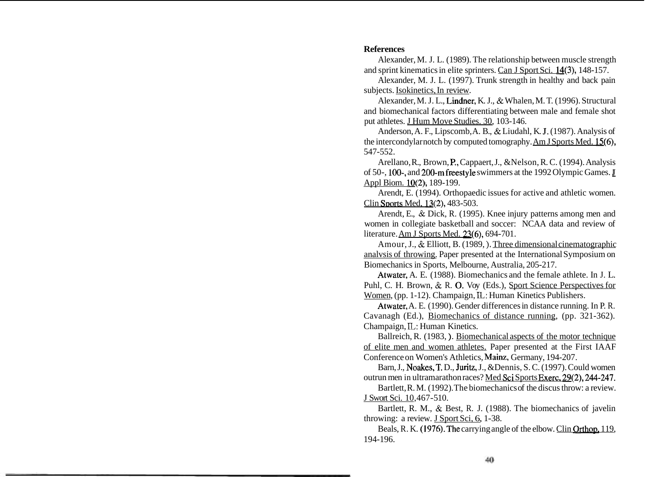## **References**

Alexander, M. J. L. (1989). The relationship between muscle strength and sprint kinematics in elite sprinters. Can J Sport Sci. 14(3), 148-157.

Alexander, M. J. L. (1997). Trunk strength in healthy and back pain subjects. Isokinetics, In review.

Alexander, M. J. L., Lindner, K. J., & Whalen, M. T. (1996). Structural and biomechanical factors differentiating between male and female shot put athletes. J Hum Move Studies. 30, 103-146.

Anderson, A. F., Lipscomb, A. B., & Liudahl, K. **J.** (1987). Analysis of the intercondylar notch by computed tomography. Am J Sports Med. 15(6), 547-552.

Arellano, R., Brown, P., Cappaert, J., &Nelson, R. C. (1994). Analysis of 50-, 100-, and 200-m freestyle swimmers at the 1992 Olympic Games. Appl Biom. 10(2): 189-199.

Arendt, E. (1994). Orthopaedic issues for active and athletic women. Clin Sports Med, 13(2), 483-503.

Arendt, E., & Dick, R. (1995). Knee injury patterns among men and women in collegiate basketball and soccer: NCAA data and review of literature. Am J Sports Med. 23(6), 694-701.

Amour, J., & Elliott, B. (1989, ). Three dimensional cinematographic analvsis of throwing. Paper presented at the International Symposium on Biomechanics in Sports, Melbourne, Australia, 205-217.

Atwater, A. E. (1988). Biomechanics and the female athlete. In J. L. Puhl, C. H. Brown, & R. O. Voy (Eds.), Sport Science Perspectives for Women, (pp. 1-12). Champaign, **IL:** Human Kinetics Publishers.

Atwater, A. E. (1990). Gender differences in distance running. In P. R. Cavanagh (Ed.), Biomechanics of distance running, (pp. 321-362). Champaign, **IL:** Human Kinetics.

Ballreich, R. (1983, ). Biomechanical aspects of the motor technique of elite men and women athletes. Paper presented at the First IAAF Conference on Women's Athletics, Mainz, Germany, 194-207.

Barn, J., Noakes,T. D., Juritz, J., &Dennis, S. C. (1997). Could women outrun men in ultramarathon races? Med Sci Sports Exerc. 29(2), 244-247.

Bartlett, R. M. (1992). The biomechanics of the discus throw: a review. J Swort Sci. 10,467-5 10.

Bartlett, R. M., & Best, R. J. (1988). The biomechanics of javelin throwing: a review. J Sport Sci, 6, 1-38.

Beals, R. K. (1976). The carrying angle of the elbow. Clin Orthop. 119, 194-196.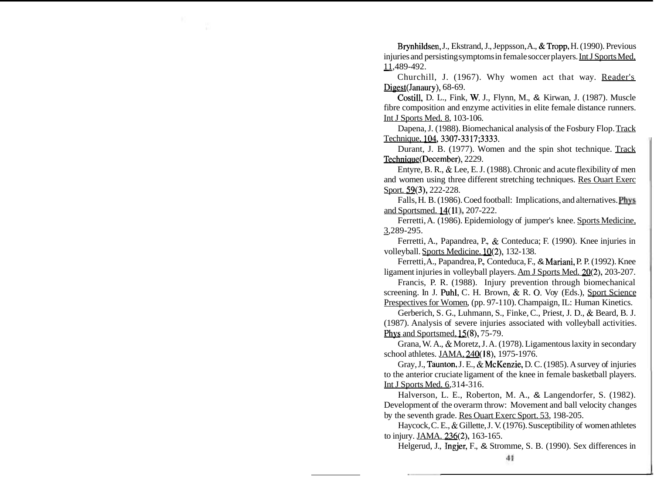Brynhildsen, J., Ekstrand, J., Jeppsson, A., & Tropp, H. (1990). Previous Example 3., Example, S., Seppesson, A., & Tropp, T. (1990). Trevious<br>
injuries and persisting symptoms in female soccer players. Int J Sports Med,<br>
11,489-492.<br>
Churchill, J. (1967). Why women, est, that, wey, Booder's

Churchill, J. (1967). Why women act that way. Reader's Digest(Janaury), 68-69.

Costill, D. L., Fink, W. J., Flynn, M., & Kirwan, J. (1987). Muscle fibre composition and enzyme activities in elite female distance runners. Int J Sports Med. 8, 103- 106.

Dapena, J. (1988). Biomechanical analysis of the Fosbury Flop. Track Technique, 104,3307-3317;3333.

Durant, J. B. (1977). Women and the spin shot technique. Track Techniaue(December), 2229.

Entyre, B. R., & Lee, E. J. (1988). Chronic and acute flexibility of men and women using three different stretching techniques. Res Ouart Exerc Sport. 59(3), 222-228.

Falls, H. B. (1986). Coed football: Implications, and alternatives. **Phvs**  and Sportsmed. 14(11), 207-222.

Ferretti, A. (1986). Epidemiology of jumper's knee. Sports Medicine, 3,289-295. -

Ferretti, A., Papandrea, P., & Conteduca; F. (1990). Knee injuries in volleyball. Sports Medicine. 10(2), 132- 138.

Ferretti, A., Papandrea, P., Conteduca, F., & Mariani, P. P. (1992). Knee ligament injuries in volleyball players. Am J Sports Med. 20(2), 203-207.

Francis, P. R. (1988). Injury prevention through biomechanical screening. In J. Puhl, C. H. Brown, & R. 0. Voy (Eds.), Sport Science Prespectives for Women, (pp. 97-110). Champaign, IL: Human Kinetics.

Gerberich, S. G., Luhmann, S., Finke, C., Priest, J. D., & Beard, B. J. (1987). Analysis of severe injuries associated with volleyball activities. Phys and Sportsmed, 15(8), 75-79.

Grana, W. A., & Moretz, J. A. (1978). Ligamentous laxity in secondary school athletes. JAMA, 240(18), 1975-1976.

Gray, J., Taunton, J. E., & McKenzie, D. C. (1985). A survey of injuries to the anterior cruciate ligament of the knee in female basketball players. Int J Sports Med. 6,314-316.

Halverson, L. E., Roberton, M. A., & Langendorfer, S. (1982). Development of the overarm throw: Movement and ball velocity changes by the seventh grade. Res Ouart Exerc Sport. 53, 198-205.

Haycock, C. E., & Gillette, J. V. (1976). Susceptibility of women athletes to injury. JAMA. 236(2), 163-165.

Helgerud, J., Ingjer, F., & Stromme, S. B. (1990). Sex differences in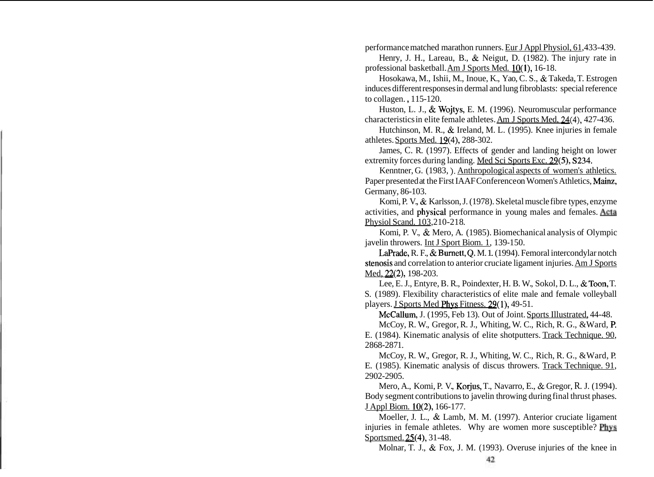performance matched marathon runners. Eur J Appl Physiol, 61,433-439.

Henry, J. H., Lareau, B., & Neigut, D. (1982). The injury rate in professional basketball. Am J Sports Med. 10(1), 16-18.

Hosokawa, M., Ishii, M., Inoue, K., Yao, C. S., & Takeda, T. Estrogen induces different responses in dermal and lung fibroblasts: special reference to collagen. , 115-120.

Huston, L. J., & Wojtys, E. M. (1996). Neuromuscular performance characteristics in elite female athletes. Am J Sports Med, **24(4),** 427-436.

Hutchinson, M. R., & Ireland, M. L. (1995). Knee injuries in female athletes. Sports Med. 19(4), 288-302.

James, C. R. (1997). Effects of gender and landing height on lower extremity forces during landing. Med Sci Sports Exc. 29(5), S234.

Kenntner, G. (1983, ). Anthropological aspects of women's athletics. Paper presented at the First IAAF Conference on Women's Athletics, Mainz, Germany, 86-103.

Komi, P. V., & Karlsson, J. (1978). Skeletal muscle fibre types, enzyme activities, and **physical** performance in young males and females. Acta Physiol Scand. 103,210-218.

Komi, P. V., & Mero, A. (1985). Biomechanical analysis of Olympic javelin throwers. Int J Sport Biom. 1, 139-150.

LaPrade, R. F., & Burnett, Q, M. 1. (1994). Femoral intercondylar notch stenosis and correlation to anterior cruciate ligament injuries. Am J Sports Med, 22(2), 198-203.

Lee, E. J., Entyre, B. R., Poindexter, H. B. W., Sokol, D. L., & Toon, T. S. (1989). Flexibility characteristics of elite male and female volleyball players. J Sports Med Phys Fitness. 29(1), 49-51.

McCallum, J. (1995, Feb 13). Out of Joint. Sports Illustrated, 44-48.

McCoy, R. W., Gregor, R. J., Whiting, W. C., Rich, R. G., &Ward, P. E. (1984). Kinematic analysis of elite shotputters. Track Technique. 90, 2868-2871.

McCoy, R. W., Gregor, R. J., Whiting, W. C., Rich, R. G., &Ward, P. E. (1985). Kinematic analysis of discus throwers. Track Technique. 91, 2902-2905.

Mero, A., Komi, P. V., Korjus, T., Navarro, E., & Gregor, R. J. (1994). Body segment contributions to javelin throwing during final thrust phases. J Appl Biom. 10(2), 166-177.

Moeller, J. L., & Lamb, M. M. (1997). Anterior cruciate ligament injuries in female athletes. Why are women more susceptible? **Phvs**  Sportsmed. 25(4), 31-48.

Molnar, T. J., & Fox, J. M. (1993). Overuse injuries of the knee in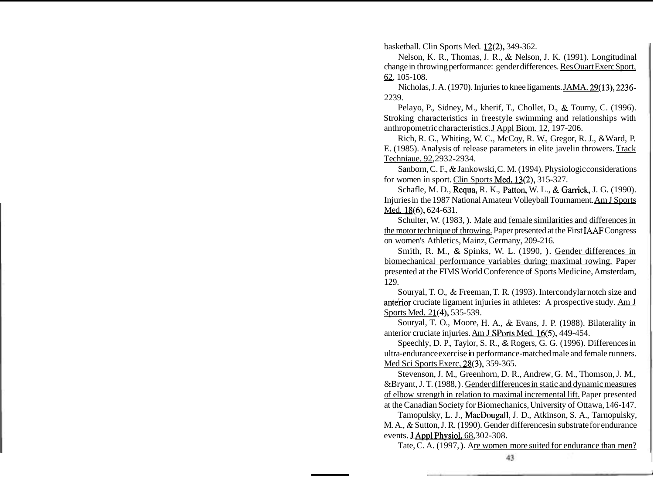basketball. Clin Sports Med. 12(2), 349-362.

Nelson, K. R., Thomas, J. R., & Nelson, J. K. (1991). Longitudinal change in throwing performance: gender differences. Res Ouart Exerc Sport, Nelson, 1<br>change in thro<br><u>62</u>, 105-108.<br>Nicholas

Nicholas, J. A. (1970). Injuries to knee ligaments. JAMA. 29(13), 2236- 2239.

Pelayo, P., Sidney, M., kherif, T., Chollet, D., & Tourny, C. (1996). Stroking characteristics in freestyle swimming and relationships with anthropometric characteristics. J Appl Biom. 12, 197-206.

Rich, R. G., Whiting, W. C., McCoy, R. W., Gregor, R. J., &Ward, P. E. (1985). Analysis of release parameters in elite javelin throwers. Track Techniaue. 92,2932-2934.

Sanborn, C. F., & Jankowski, C. M. (1994). Physiologic considerations for women in sport. Clin Sports Med. 13(2), 315-327.

Schafle, M. D., Requa, R. K., Patton, W. L., & Garrick, J. G. (1990). Injuries in the 1987 National Amateur Volleyball Tournament. Am J Sports Med. 18(6), 624-631.

Schulter, W. (1983, ). Male and female similarities and differences in the motor technique of throwing. Paper presented at the First **IAAF** Congress on women's Athletics, Mainz, Germany, 209-216.

Smith, R. M., & Spinks, W. L. (1990, ). Gender differences in biomechanical performance variables during; maximal rowing. Paper presented at the FIMS World Conference of Sports Medicine, Amsterdam, 129.

Souryal, T. O., & Freeman, T. R. (1993). Intercondylar notch size and anterior cruciate ligament injuries in athletes: A prospective study.  $Am J$ Sports Med. 21(4), 535-539.

Souryal, T. O., Moore, H. A., & Evans, J. P. (1988). Bilaterality in anterior cruciate injuries. Am J SPorts Med. 16(5), 449-454.

Speechly, D. P., Taylor, S. R., & Rogers, G. G. (1996). Differences in ultra-endurance exercise in performance-matched male and female runners. Med Sci Sports Exerc, 28(3), 359-365.

Stevenson, J. M., Greenhorn, D. R., Andrew, G. M., Thomson, J. M., &Bryant, J. T. (1988, ). Gender differences in static and dynamic measures of elbow strength in relation to maximal incremental lift. Paper presented at the Canadian Society for Biomechanics, University of Ottawa, 146-147.

Tamopulsky, L. J., MacDougall, J. D., Atkinson, S. A., Tarnopulsky, M. A., & Sutton, J. R. (1990). Gender differencesin substrate for endurance events. **J Appl Physiol**, 68,302-308.

Tate, C. A. (1997, ). Are women more suited for endurance than men?